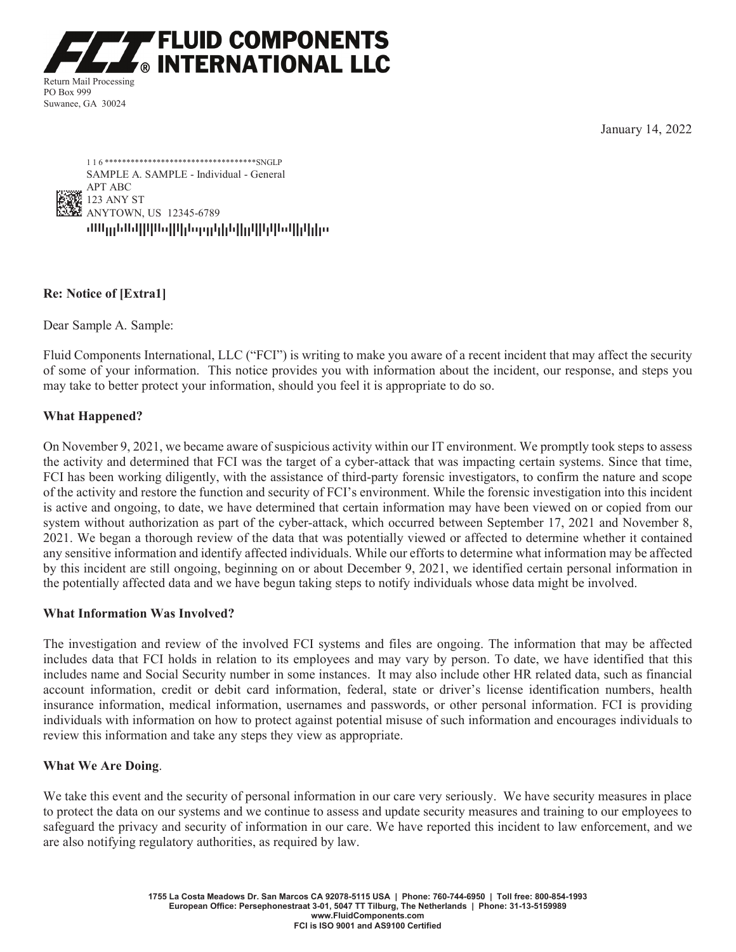**FLUID COMPONENTS** ® INTERNATIONAL LLC

Return Mail Processing PO Box 999 Suwanee, GA 30024

January 14, 2022



# **Re: Notice of [Extra1]**

Dear Sample A. Sample:

Fluid Components International, LLC ("FCI") is writing to make you aware of a recent incident that may affect the security of some of your information. This notice provides you with information about the incident, our response, and steps you may take to better protect your information, should you feel it is appropriate to do so.

# **What Happened?**

On November 9, 2021, we became aware of suspicious activity within our IT environment. We promptly took steps to assess the activity and determined that FCI was the target of a cyber-attack that was impacting certain systems. Since that time, FCI has been working diligently, with the assistance of third-party forensic investigators, to confirm the nature and scope of the activity and restore the function and security of FCI's environment. While the forensic investigation into this incident is active and ongoing, to date, we have determined that certain information may have been viewed on or copied from our system without authorization as part of the cyber-attack, which occurred between September 17, 2021 and November 8, 2021. We began a thorough review of the data that was potentially viewed or affected to determine whether it contained any sensitive information and identify affected individuals. While our efforts to determine what information may be affected by this incident are still ongoing, beginning on or about December 9, 2021, we identified certain personal information in the potentially affected data and we have begun taking steps to notify individuals whose data might be involved.

### **What Information Was Involved?**

The investigation and review of the involved FCI systems and files are ongoing. The information that may be affected includes data that FCI holds in relation to its employees and may vary by person. To date, we have identified that this includes name and Social Security number in some instances. It may also include other HR related data, such as financial account information, credit or debit card information, federal, state or driver's license identification numbers, health insurance information, medical information, usernames and passwords, or other personal information. FCI is providing individuals with information on how to protect against potential misuse of such information and encourages individuals to review this information and take any steps they view as appropriate.

### **What We Are Doing**.

We take this event and the security of personal information in our care very seriously. We have security measures in place to protect the data on our systems and we continue to assess and update security measures and training to our employees to safeguard the privacy and security of information in our care. We have reported this incident to law enforcement, and we are also notifying regulatory authorities, as required by law.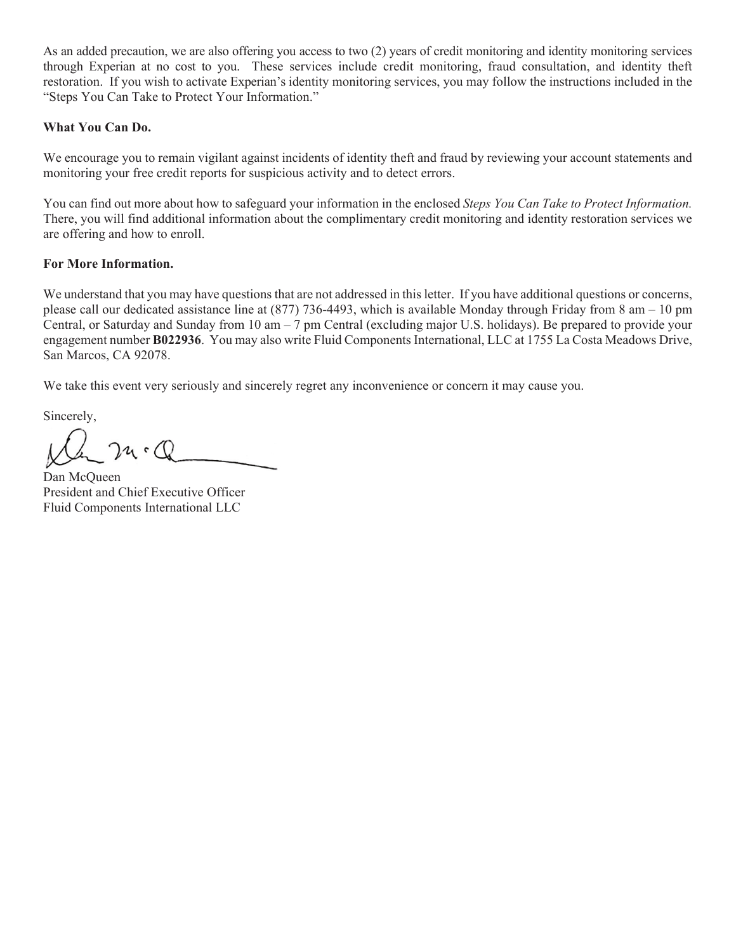As an added precaution, we are also offering you access to two (2) years of credit monitoring and identity monitoring services through Experian at no cost to you. These services include credit monitoring, fraud consultation, and identity theft restoration. If you wish to activate Experian's identity monitoring services, you may follow the instructions included in the "Steps You Can Take to Protect Your Information."

# **What You Can Do.**

We encourage you to remain vigilant against incidents of identity theft and fraud by reviewing your account statements and monitoring your free credit reports for suspicious activity and to detect errors.

You can find out more about how to safeguard your information in the enclosed *Steps You Can Take to Protect Information.*  There, you will find additional information about the complimentary credit monitoring and identity restoration services we are offering and how to enroll.

# **For More Information.**

We understand that you may have questions that are not addressed in this letter. If you have additional questions or concerns, please call our dedicated assistance line at  $(877)$  736-4493, which is available Monday through Friday from 8 am – 10 pm Central, or Saturday and Sunday from 10 am – 7 pm Central (excluding major U.S. holidays). Be prepared to provide your engagement number **B022936**. You may also write Fluid Components International, LLC at 1755 La Costa Meadows Drive, San Marcos, CA 92078.

We take this event very seriously and sincerely regret any inconvenience or concern it may cause you.

Sincerely,

 $24.0$ 

Dan McQueen President and Chief Executive Officer Fluid Components International LLC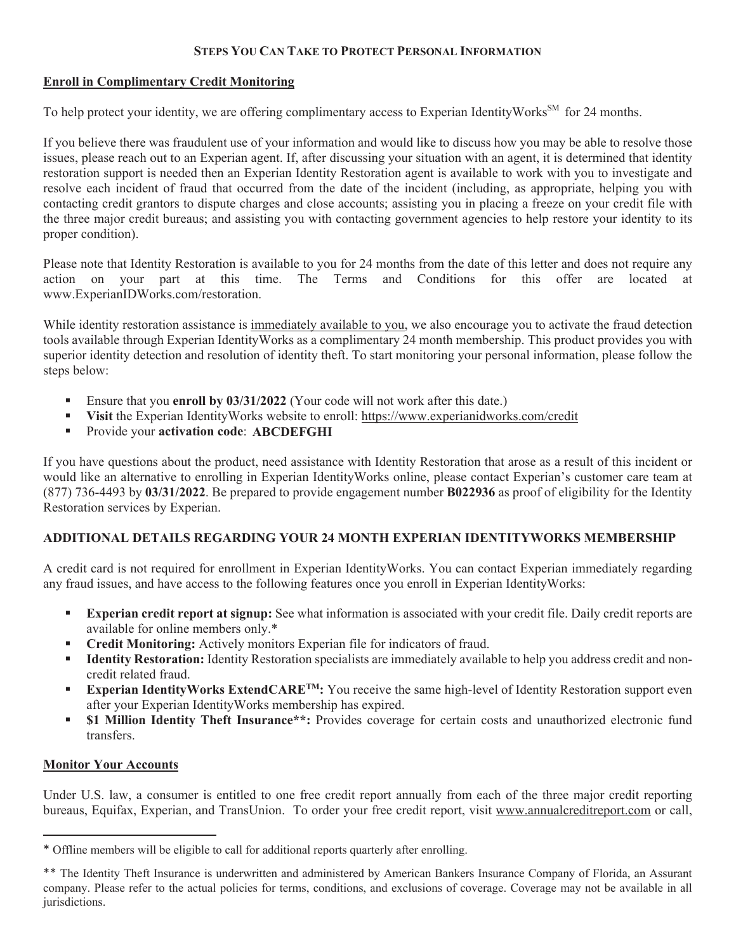# **STEPS YOU CAN TAKE TO PROTECT PERSONAL INFORMATION**

# **Enroll in Complimentary Credit Monitoring**

To help protect your identity, we are offering complimentary access to Experian IdentityWorks<sup>SM</sup> for 24 months.

If you believe there was fraudulent use of your information and would like to discuss how you may be able to resolve those issues, please reach out to an Experian agent. If, after discussing your situation with an agent, it is determined that identity restoration support is needed then an Experian Identity Restoration agent is available to work with you to investigate and resolve each incident of fraud that occurred from the date of the incident (including, as appropriate, helping you with contacting credit grantors to dispute charges and close accounts; assisting you in placing a freeze on your credit file with the three major credit bureaus; and assisting you with contacting government agencies to help restore your identity to its proper condition).

Please note that Identity Restoration is available to you for 24 months from the date of this letter and does not require any action on your part at this time. The Terms and Conditions for this offer are located at www.ExperianIDWorks.com/restoration.

While identity restoration assistance is immediately available to you, we also encourage you to activate the fraud detection tools available through Experian IdentityWorks as a complimentary 24 month membership. This product provides you with superior identity detection and resolution of identity theft. To start monitoring your personal information, please follow the steps below:

- Ensure that you **enroll by 03/31/2022** (Your code will not work after this date.)
- **Visit** the Experian IdentityWorks website to enroll: https://www.experianidworks.com/credit
- **Provide your activation code: ABCDEFGHI**

If you have questions about the product, need assistance with Identity Restoration that arose as a result of this incident or would like an alternative to enrolling in Experian IdentityWorks online, please contact Experian's customer care team at (877) 736-4493 by **03/31/2022**. Be prepared to provide engagement number **B022936** as proof of eligibility for the Identity Restoration services by Experian.

### **ADDITIONAL DETAILS REGARDING YOUR 24 MONTH EXPERIAN IDENTITYWORKS MEMBERSHIP**

A credit card is not required for enrollment in Experian IdentityWorks. You can contact Experian immediately regarding any fraud issues, and have access to the following features once you enroll in Experian IdentityWorks:

- **Experian credit report at signup:** See what information is associated with your credit file. Daily credit reports are available for online members only.\*
- **Credit Monitoring:** Actively monitors Experian file for indicators of fraud.
- **Identity Restoration:** Identity Restoration specialists are immediately available to help you address credit and noncredit related fraud.
- **Experian IdentityWorks ExtendCARETM:** You receive the same high-level of Identity Restoration support even after your Experian IdentityWorks membership has expired.
- **\$1 Million Identity Theft Insurance\*\*:** Provides coverage for certain costs and unauthorized electronic fund transfers.

### **Monitor Your Accounts**

Under U.S. law, a consumer is entitled to one free credit report annually from each of the three major credit reporting bureaus, Equifax, Experian, and TransUnion. To order your free credit report, visit www.annualcreditreport.com or call,

<sup>\*</sup> Offline members will be eligible to call for additional reports quarterly after enrolling.

<sup>\*\*</sup> The Identity Theft Insurance is underwritten and administered by American Bankers Insurance Company of Florida, an Assurant company. Please refer to the actual policies for terms, conditions, and exclusions of coverage. Coverage may not be available in all jurisdictions.